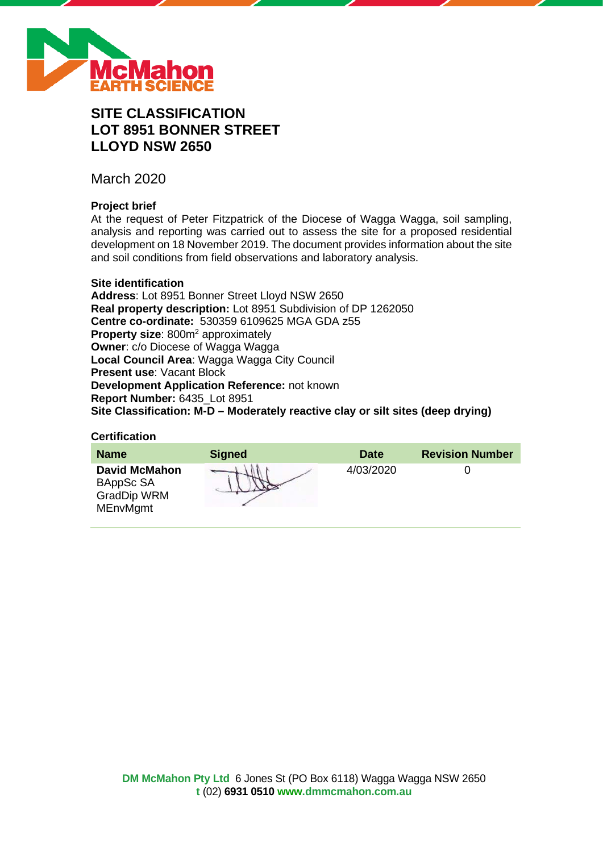

# **SITE CLASSIFICATION LOT 8951 BONNER STREET LLOYD NSW 2650**

March 2020

## **Project brief**

At the request of Peter Fitzpatrick of the Diocese of Wagga Wagga, soil sampling, analysis and reporting was carried out to assess the site for a proposed residential development on 18 November 2019. The document provides information about the site and soil conditions from field observations and laboratory analysis.

#### **Site identification**

**Address**: Lot 8951 Bonner Street Lloyd NSW 2650 **Real property description:** Lot 8951 Subdivision of DP 1262050 **Centre co-ordinate:** 530359 6109625 MGA GDA z55 **Property size:** 800m<sup>2</sup> approximately **Owner**: c/o Diocese of Wagga Wagga **Local Council Area**: Wagga Wagga City Council **Present use**: Vacant Block **Development Application Reference:** not known **Report Number:** 6435\_Lot 8951 **Site Classification: M-D – Moderately reactive clay or silt sites (deep drying)**

#### **Certification**

| <b>Name</b>                                                                | <b>Signed</b> | <b>Date</b> | <b>Revision Number</b> |
|----------------------------------------------------------------------------|---------------|-------------|------------------------|
| <b>David McMahon</b><br>BAppSc SA<br><b>GradDip WRM</b><br><b>MEnvMgmt</b> |               | 4/03/2020   |                        |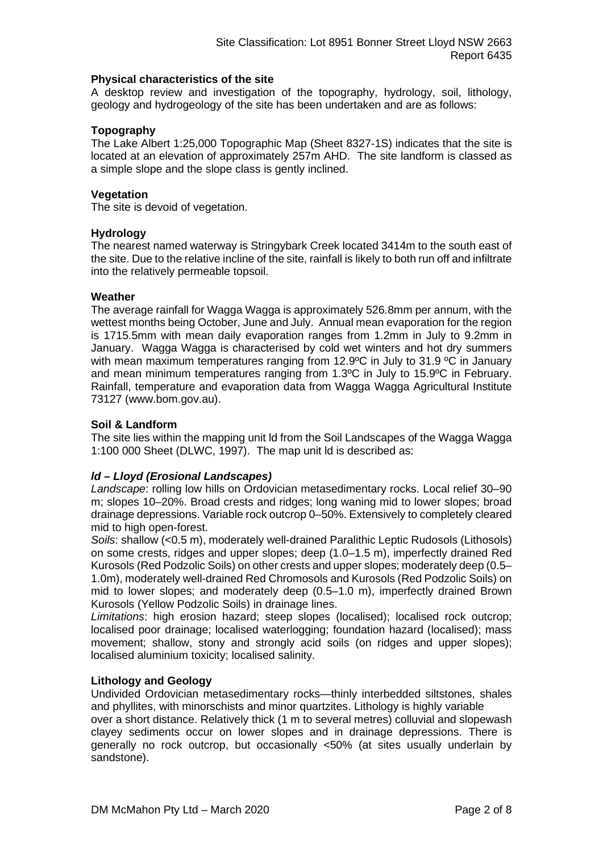#### **Physical characteristics of the site**

A desktop review and investigation of the topography, hydrology, soil, lithology, geology and hydrogeology of the site has been undertaken and are as follows:

#### **Topography**

The Lake Albert 1:25,000 Topographic Map (Sheet 8327-1S) indicates that the site is located at an elevation of approximately 257m AHD. The site landform is classed as a simple slope and the slope class is gently inclined.

#### **Vegetation**

The site is devoid of vegetation.

#### **Hydrology**

The nearest named waterway is Stringybark Creek located 3414m to the south east of the site. Due to the relative incline of the site, rainfall is likely to both run off and infiltrate into the relatively permeable topsoil.

#### **Weather**

The average rainfall for Wagga Wagga is approximately 526.8mm per annum, with the wettest months being October, June and July. Annual mean evaporation for the region is 1715.5mm with mean daily evaporation ranges from 1.2mm in July to 9.2mm in January. Wagga Wagga is characterised by cold wet winters and hot dry summers with mean maximum temperatures ranging from 12.9°C in July to 31.9 °C in January and mean minimum temperatures ranging from 1.3ºC in July to 15.9ºC in February. Rainfall, temperature and evaporation data from Wagga Wagga Agricultural Institute 73127 (www.bom.gov.au).

#### **Soil & Landform**

The site lies within the mapping unit ld from the Soil Landscapes of the Wagga Wagga 1:100 000 Sheet (DLWC, 1997). The map unit ld is described as:

### *ld – Lloyd (Erosional Landscapes)*

*Landscape*: rolling low hills on Ordovician metasedimentary rocks. Local relief 30–90 m; slopes 10–20%. Broad crests and ridges; long waning mid to lower slopes; broad drainage depressions. Variable rock outcrop 0–50%. Extensively to completely cleared mid to high open-forest.

*Soils*: shallow (<0.5 m), moderately well-drained Paralithic Leptic Rudosols (Lithosols) on some crests, ridges and upper slopes; deep (1.0–1.5 m), imperfectly drained Red Kurosols (Red Podzolic Soils) on other crests and upper slopes; moderately deep (0.5– 1.0m), moderately well-drained Red Chromosols and Kurosols (Red Podzolic Soils) on mid to lower slopes; and moderately deep (0.5–1.0 m), imperfectly drained Brown Kurosols (Yellow Podzolic Soils) in drainage lines.

*Limitations*: high erosion hazard; steep slopes (localised); localised rock outcrop; localised poor drainage; localised waterlogging; foundation hazard (localised); mass movement; shallow, stony and strongly acid soils (on ridges and upper slopes); localised aluminium toxicity; localised salinity.

#### **Lithology and Geology**

Undivided Ordovician metasedimentary rocks—thinly interbedded siltstones, shales and phyllites, with minorschists and minor quartzites. Lithology is highly variable

over a short distance. Relatively thick (1 m to several metres) colluvial and slopewash clayey sediments occur on lower slopes and in drainage depressions. There is generally no rock outcrop, but occasionally <50% (at sites usually underlain by sandstone).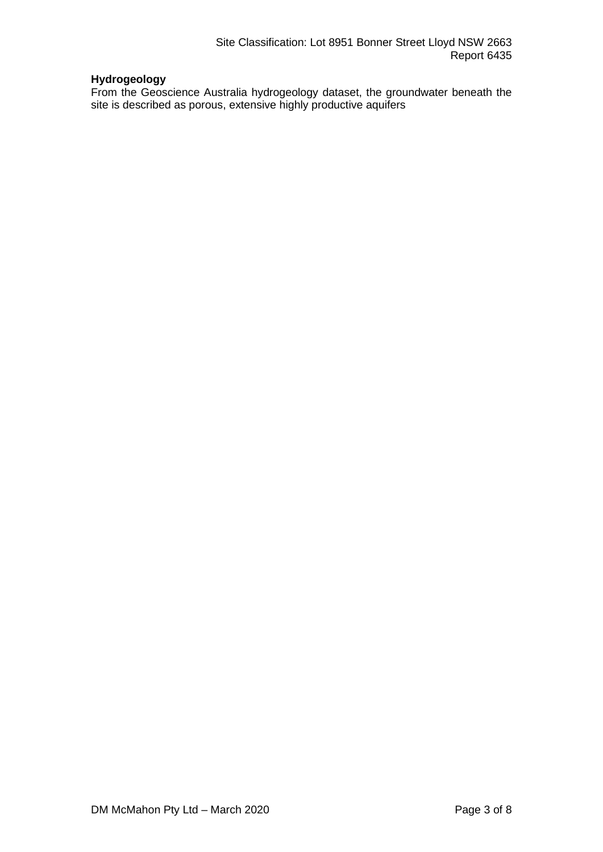## **Hydrogeology**

From the Geoscience Australia hydrogeology dataset, the groundwater beneath the site is described as porous, extensive highly productive aquifers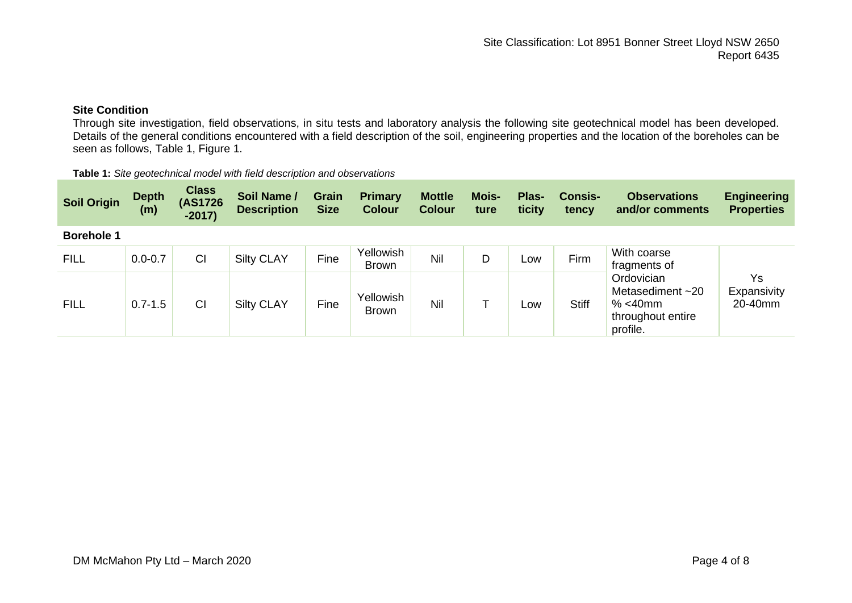## **Site Condition**

Through site investigation, field observations, in situ tests and laboratory analysis the following site geotechnical model has been developed. Details of the general conditions encountered with a field description of the soil, engineering properties and the location of the boreholes can be seen as follows, Table 1, Figure 1.

| Table 1: Site geotechnical model with field description and observations |  |
|--------------------------------------------------------------------------|--|
|--------------------------------------------------------------------------|--|

| <b>Soil Origin</b> | <b>Depth</b><br>(m) | <b>Class</b><br>(AS1726<br>$-2017$ | Soil Name /<br><b>Description</b> | <b>Grain</b><br><b>Size</b> | <b>Primary</b><br><b>Colour</b> | <b>Mottle</b><br><b>Colour</b> | <b>Mois-</b><br>ture | Plas-<br>ticity | <b>Consis-</b><br>tency | <b>Observations</b><br>and/or comments                                                                           | <b>Engineering</b><br><b>Properties</b> |
|--------------------|---------------------|------------------------------------|-----------------------------------|-----------------------------|---------------------------------|--------------------------------|----------------------|-----------------|-------------------------|------------------------------------------------------------------------------------------------------------------|-----------------------------------------|
| <b>Borehole 1</b>  |                     |                                    |                                   |                             |                                 |                                |                      |                 |                         |                                                                                                                  |                                         |
| <b>FILL</b>        | $0.0 - 0.7$         | C <sub>l</sub>                     | <b>Silty CLAY</b>                 | Fine                        | Yellowish<br><b>Brown</b>       | Nil                            | D                    | Low             | Firm                    | With coarse<br>fragments of<br>Ordovician<br>Metasediment $~20$<br>% $<$ 40 $m$<br>throughout entire<br>profile. | Ys<br>Expansivity<br>20-40mm            |
| <b>FILL</b>        | $0.7 - 1.5$         | C <sub>l</sub>                     | <b>Silty CLAY</b>                 | Fine                        | Yellowish<br><b>Brown</b>       | Nil                            |                      | Low             | <b>Stiff</b>            |                                                                                                                  |                                         |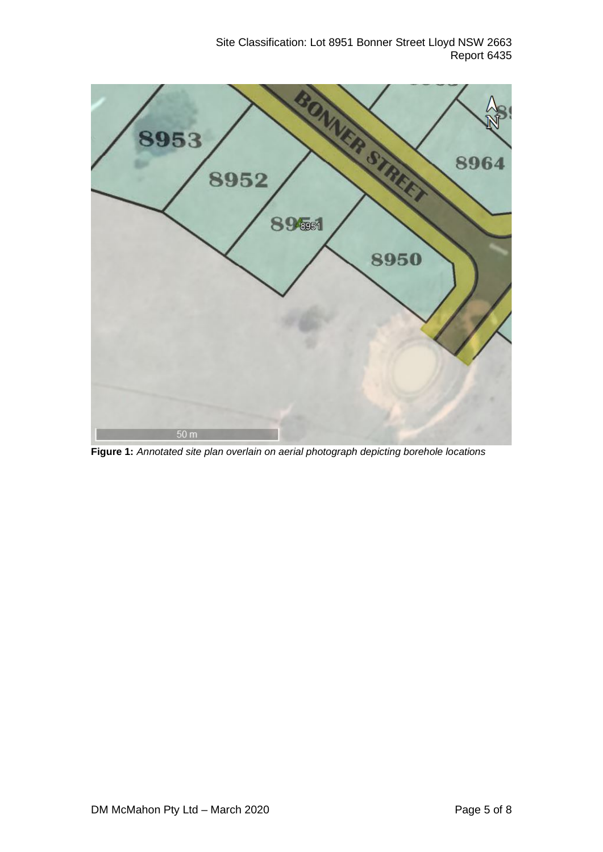Site Classification: Lot 8951 Bonner Street Lloyd NSW 2663 Report 6435



**Figure 1:** *Annotated site plan overlain on aerial photograph depicting borehole locations*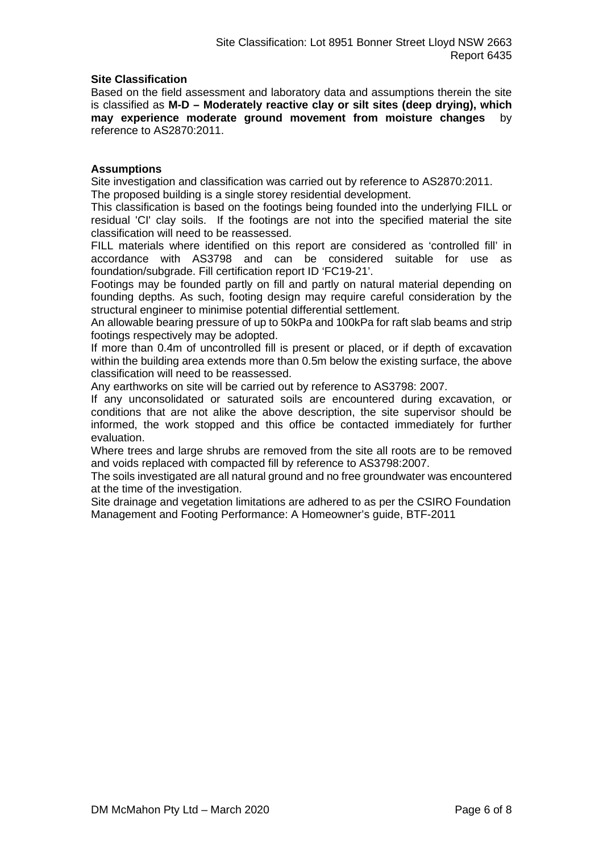#### **Site Classification**

Based on the field assessment and laboratory data and assumptions therein the site is classified as **M-D – Moderately reactive clay or silt sites (deep drying), which may experience moderate ground movement from moisture changes** by reference to AS2870:2011.

#### **Assumptions**

Site investigation and classification was carried out by reference to AS2870:2011. The proposed building is a single storey residential development.

This classification is based on the footings being founded into the underlying FILL or residual 'CI' clay soils. If the footings are not into the specified material the site classification will need to be reassessed.

FILL materials where identified on this report are considered as 'controlled fill' in accordance with AS3798 and can be considered suitable for use as foundation/subgrade. Fill certification report ID 'FC19-21'.

Footings may be founded partly on fill and partly on natural material depending on founding depths. As such, footing design may require careful consideration by the structural engineer to minimise potential differential settlement.

An allowable bearing pressure of up to 50kPa and 100kPa for raft slab beams and strip footings respectively may be adopted.

If more than 0.4m of uncontrolled fill is present or placed, or if depth of excavation within the building area extends more than 0.5m below the existing surface, the above classification will need to be reassessed.

Any earthworks on site will be carried out by reference to AS3798: 2007.

If any unconsolidated or saturated soils are encountered during excavation, or conditions that are not alike the above description, the site supervisor should be informed, the work stopped and this office be contacted immediately for further evaluation.

Where trees and large shrubs are removed from the site all roots are to be removed and voids replaced with compacted fill by reference to AS3798:2007.

The soils investigated are all natural ground and no free groundwater was encountered at the time of the investigation.

Site drainage and vegetation limitations are adhered to as per the CSIRO Foundation Management and Footing Performance: A Homeowner's guide, BTF-2011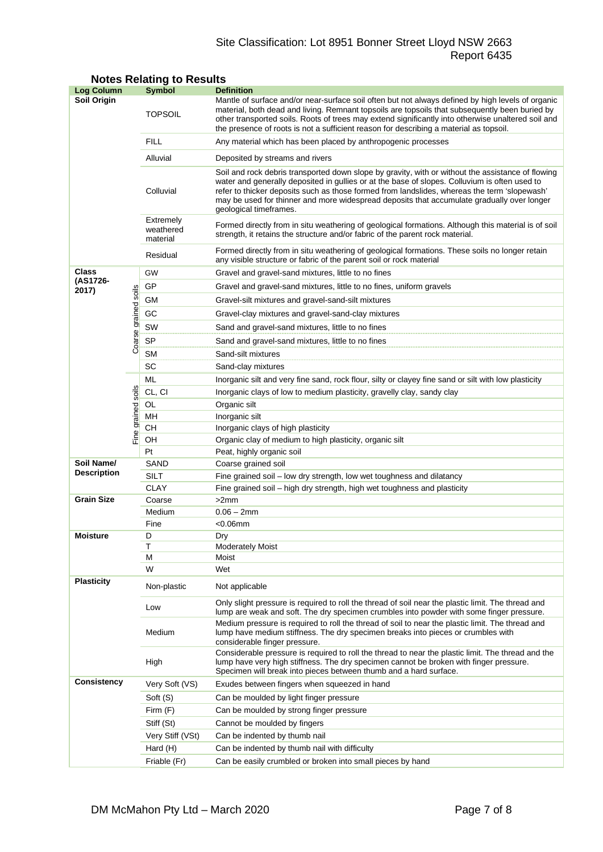## Site Classification: Lot 8951 Bonner Street Lloyd NSW 2663 Report 6435

| <b>Log Column</b>  |                      | Symbol                             | <b>Definition</b>                                                                                                                                                                                                                                                                                                                                                                                                          |  |  |  |  |  |
|--------------------|----------------------|------------------------------------|----------------------------------------------------------------------------------------------------------------------------------------------------------------------------------------------------------------------------------------------------------------------------------------------------------------------------------------------------------------------------------------------------------------------------|--|--|--|--|--|
| Soil Origin        |                      | <b>TOPSOIL</b>                     | Mantle of surface and/or near-surface soil often but not always defined by high levels of organic<br>material, both dead and living. Remnant topsoils are topsoils that subsequently been buried by<br>other transported soils. Roots of trees may extend significantly into otherwise unaltered soil and<br>the presence of roots is not a sufficient reason for describing a material as topsoil.                        |  |  |  |  |  |
|                    |                      | <b>FILL</b>                        | Any material which has been placed by anthropogenic processes                                                                                                                                                                                                                                                                                                                                                              |  |  |  |  |  |
|                    |                      | Alluvial                           | Deposited by streams and rivers                                                                                                                                                                                                                                                                                                                                                                                            |  |  |  |  |  |
|                    |                      | Colluvial                          | Soil and rock debris transported down slope by gravity, with or without the assistance of flowing<br>water and generally deposited in gullies or at the base of slopes. Colluvium is often used to<br>refer to thicker deposits such as those formed from landslides, whereas the term 'slopewash'<br>may be used for thinner and more widespread deposits that accumulate gradually over longer<br>geological timeframes. |  |  |  |  |  |
|                    |                      | Extremely<br>weathered<br>material | Formed directly from in situ weathering of geological formations. Although this material is of soil<br>strength, it retains the structure and/or fabric of the parent rock material.                                                                                                                                                                                                                                       |  |  |  |  |  |
|                    |                      | Residual                           | Formed directly from in situ weathering of geological formations. These soils no longer retain<br>any visible structure or fabric of the parent soil or rock material                                                                                                                                                                                                                                                      |  |  |  |  |  |
| Class              |                      | GW                                 | Gravel and gravel-sand mixtures, little to no fines                                                                                                                                                                                                                                                                                                                                                                        |  |  |  |  |  |
| (AS1726-<br>2017)  |                      | GP                                 | Gravel and gravel-sand mixtures, little to no fines, uniform gravels                                                                                                                                                                                                                                                                                                                                                       |  |  |  |  |  |
|                    |                      | GМ                                 | Gravel-silt mixtures and gravel-sand-silt mixtures                                                                                                                                                                                                                                                                                                                                                                         |  |  |  |  |  |
|                    | Coarse grained soils | GC                                 | Gravel-clay mixtures and gravel-sand-clay mixtures                                                                                                                                                                                                                                                                                                                                                                         |  |  |  |  |  |
|                    |                      | SW                                 | Sand and gravel-sand mixtures, little to no fines                                                                                                                                                                                                                                                                                                                                                                          |  |  |  |  |  |
|                    |                      | SP                                 |                                                                                                                                                                                                                                                                                                                                                                                                                            |  |  |  |  |  |
|                    |                      | <b>SM</b>                          | Sand and gravel-sand mixtures, little to no fines                                                                                                                                                                                                                                                                                                                                                                          |  |  |  |  |  |
|                    |                      | SC                                 | Sand-silt mixtures<br>Sand-clay mixtures                                                                                                                                                                                                                                                                                                                                                                                   |  |  |  |  |  |
|                    |                      | ML                                 |                                                                                                                                                                                                                                                                                                                                                                                                                            |  |  |  |  |  |
|                    |                      |                                    | Inorganic silt and very fine sand, rock flour, silty or clayey fine sand or silt with low plasticity                                                                                                                                                                                                                                                                                                                       |  |  |  |  |  |
|                    |                      | CL, CI                             | Inorganic clays of low to medium plasticity, gravelly clay, sandy clay                                                                                                                                                                                                                                                                                                                                                     |  |  |  |  |  |
|                    |                      | OL<br>MH                           | Organic silt<br>Inorganic silt                                                                                                                                                                                                                                                                                                                                                                                             |  |  |  |  |  |
| Fine grained soils |                      | CН                                 | Inorganic clays of high plasticity                                                                                                                                                                                                                                                                                                                                                                                         |  |  |  |  |  |
|                    |                      | OH                                 | Organic clay of medium to high plasticity, organic silt                                                                                                                                                                                                                                                                                                                                                                    |  |  |  |  |  |
|                    |                      | Pt                                 | Peat, highly organic soil                                                                                                                                                                                                                                                                                                                                                                                                  |  |  |  |  |  |
| Soil Name/         |                      | SAND                               | Coarse grained soil                                                                                                                                                                                                                                                                                                                                                                                                        |  |  |  |  |  |
| <b>Description</b> |                      | SILT                               | Fine grained soil - low dry strength, low wet toughness and dilatancy                                                                                                                                                                                                                                                                                                                                                      |  |  |  |  |  |
|                    |                      | <b>CLAY</b>                        | Fine grained soil – high dry strength, high wet toughness and plasticity                                                                                                                                                                                                                                                                                                                                                   |  |  |  |  |  |
| <b>Grain Size</b>  |                      | Coarse                             | >2mm                                                                                                                                                                                                                                                                                                                                                                                                                       |  |  |  |  |  |
|                    |                      | Medium                             | $0.06 - 2mm$                                                                                                                                                                                                                                                                                                                                                                                                               |  |  |  |  |  |
|                    |                      | Fine                               | $<$ 0.06 $mm$                                                                                                                                                                                                                                                                                                                                                                                                              |  |  |  |  |  |
| <b>Moisture</b>    |                      | D                                  | Drv                                                                                                                                                                                                                                                                                                                                                                                                                        |  |  |  |  |  |
|                    |                      | Τ<br>м                             | <b>Moderately Moist</b><br>Moist                                                                                                                                                                                                                                                                                                                                                                                           |  |  |  |  |  |
|                    |                      | W                                  | Wet                                                                                                                                                                                                                                                                                                                                                                                                                        |  |  |  |  |  |
| <b>Plasticity</b>  |                      | Non-plastic                        | Not applicable                                                                                                                                                                                                                                                                                                                                                                                                             |  |  |  |  |  |
|                    |                      | Low                                | Only slight pressure is required to roll the thread of soil near the plastic limit. The thread and<br>lump are weak and soft. The dry specimen crumbles into powder with some finger pressure.                                                                                                                                                                                                                             |  |  |  |  |  |
|                    |                      | Medium                             | Medium pressure is required to roll the thread of soil to near the plastic limit. The thread and<br>lump have medium stiffness. The dry specimen breaks into pieces or crumbles with<br>considerable finger pressure.                                                                                                                                                                                                      |  |  |  |  |  |
|                    |                      | High                               | Considerable pressure is required to roll the thread to near the plastic limit. The thread and the<br>lump have very high stiffness. The dry specimen cannot be broken with finger pressure.<br>Specimen will break into pieces between thumb and a hard surface.                                                                                                                                                          |  |  |  |  |  |
| <b>Consistency</b> |                      | Very Soft (VS)                     | Exudes between fingers when squeezed in hand                                                                                                                                                                                                                                                                                                                                                                               |  |  |  |  |  |
|                    |                      | Soft (S)                           | Can be moulded by light finger pressure                                                                                                                                                                                                                                                                                                                                                                                    |  |  |  |  |  |
|                    |                      | Firm (F)                           | Can be moulded by strong finger pressure                                                                                                                                                                                                                                                                                                                                                                                   |  |  |  |  |  |
|                    |                      | Stiff (St)                         | Cannot be moulded by fingers                                                                                                                                                                                                                                                                                                                                                                                               |  |  |  |  |  |
|                    |                      | Very Stiff (VSt)                   | Can be indented by thumb nail                                                                                                                                                                                                                                                                                                                                                                                              |  |  |  |  |  |
|                    |                      | Hard (H)                           | Can be indented by thumb nail with difficulty                                                                                                                                                                                                                                                                                                                                                                              |  |  |  |  |  |
|                    |                      | Friable (Fr)                       | Can be easily crumbled or broken into small pieces by hand                                                                                                                                                                                                                                                                                                                                                                 |  |  |  |  |  |

## **Notes Relating to Results**